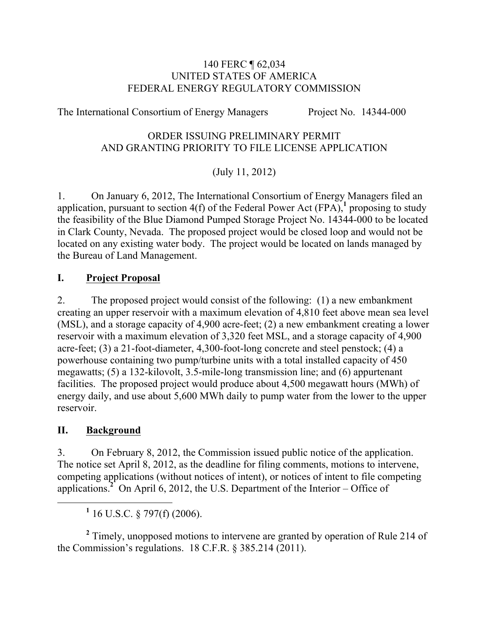#### 140 FERC ¶ 62,034 UNITED STATES OF AMERICA FEDERAL ENERGY REGULATORY COMMISSION

The International Consortium of Energy Managers Project No. 14344-000

#### ORDER ISSUING PRELIMINARY PERMIT AND GRANTING PRIORITY TO FILE LICENSE APPLICATION

# (July 11, 2012)

1. On January 6, 2012, The International Consortium of Energy Managers filed an application, pursuant to section  $4(f)$  of the Federal Power Act  $(FPA)$ , *proposing to study* the feasibility of the Blue Diamond Pumped Storage Project No. 14344-000 to be located in Clark County, Nevada. The proposed project would be closed loop and would not be located on any existing water body. The project would be located on lands managed by the Bureau of Land Management.

### **I. Project Proposal**

2. The proposed project would consist of the following: (1) a new embankment creating an upper reservoir with a maximum elevation of 4,810 feet above mean sea level (MSL), and a storage capacity of 4,900 acre-feet; (2) a new embankment creating a lower reservoir with a maximum elevation of 3,320 feet MSL, and a storage capacity of 4,900 acre-feet; (3) a 21-foot-diameter, 4,300-foot-long concrete and steel penstock; (4) a powerhouse containing two pump/turbine units with a total installed capacity of 450 megawatts; (5) a 132-kilovolt, 3.5-mile-long transmission line; and (6) appurtenant facilities. The proposed project would produce about 4,500 megawatt hours (MWh) of energy daily, and use about 5,600 MWh daily to pump water from the lower to the upper reservoir.

### **II. Background**

3. On February 8, 2012, the Commission issued public notice of the application. The notice set April 8, 2012, as the deadline for filing comments, motions to intervene, competing applications (without notices of intent), or notices of intent to file competing applications.<sup>2</sup> On April 6, 2012, the U.S. Department of the Interior – Office of

**<sup>2</sup>** Timely, unopposed motions to intervene are granted by operation of Rule 214 of the Commission's regulations. 18 C.F.R. § 385.214 (2011).

**<sup>1</sup>** 16 U.S.C. § 797(f) (2006).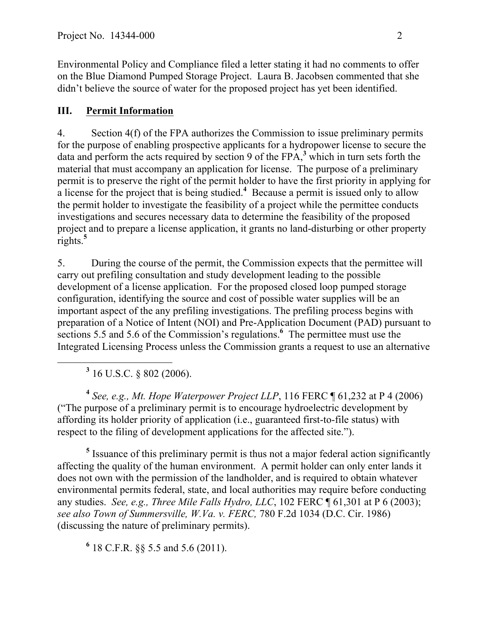Environmental Policy and Compliance filed a letter stating it had no comments to offer on the Blue Diamond Pumped Storage Project. Laura B. Jacobsen commented that she didn't believe the source of water for the proposed project has yet been identified.

## **III. Permit Information**

4. Section 4(f) of the FPA authorizes the Commission to issue preliminary permits for the purpose of enabling prospective applicants for a hydropower license to secure the data and perform the acts required by section 9 of the FPA,**<sup>3</sup>** which in turn sets forth the material that must accompany an application for license. The purpose of a preliminary permit is to preserve the right of the permit holder to have the first priority in applying for a license for the project that is being studied.<sup>4</sup> Because a permit is issued only to allow the permit holder to investigate the feasibility of a project while the permittee conducts investigations and secures necessary data to determine the feasibility of the proposed project and to prepare a license application, it grants no land-disturbing or other property rights.**<sup>5</sup>**

5. During the course of the permit, the Commission expects that the permittee will carry out prefiling consultation and study development leading to the possible development of a license application. For the proposed closed loop pumped storage configuration, identifying the source and cost of possible water supplies will be an important aspect of the any prefiling investigations. The prefiling process begins with preparation of a Notice of Intent (NOI) and Pre-Application Document (PAD) pursuant to sections 5.5 and 5.6 of the Commission's regulations.<sup>6</sup> The permittee must use the Integrated Licensing Process unless the Commission grants a request to use an alternative

**<sup>3</sup>** 16 U.S.C. § 802 (2006).

**<sup>4</sup>** *See, e.g., Mt. Hope Waterpower Project LLP*, 116 FERC ¶ 61,232 at P 4 (2006) ("The purpose of a preliminary permit is to encourage hydroelectric development by affording its holder priority of application (i.e., guaranteed first-to-file status) with respect to the filing of development applications for the affected site.").

**<sup>5</sup>** Issuance of this preliminary permit is thus not a major federal action significantly affecting the quality of the human environment. A permit holder can only enter lands it does not own with the permission of the landholder, and is required to obtain whatever environmental permits federal, state, and local authorities may require before conducting any studies. *See, e.g., Three Mile Falls Hydro, LLC*, 102 FERC ¶ 61,301 at P 6 (2003); *see also Town of Summersville, W.Va. v. FERC,* 780 F.2d 1034 (D.C. Cir. 1986) (discussing the nature of preliminary permits).

**<sup>6</sup>** 18 C.F.R. §§ 5.5 and 5.6 (2011).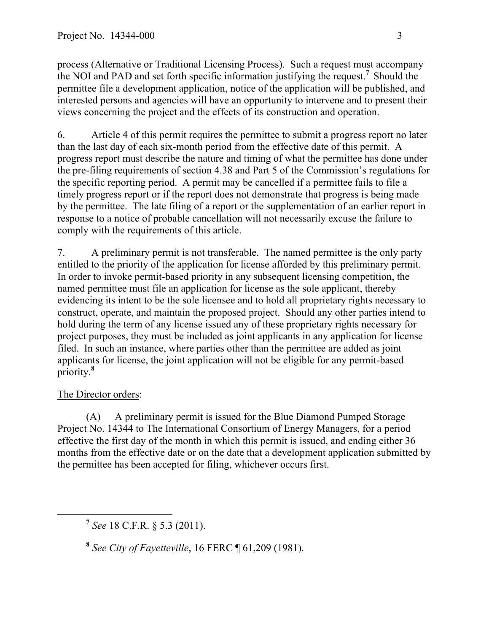process (Alternative or Traditional Licensing Process). Such a request must accompany the NOI and PAD and set forth specific information justifying the request.**<sup>7</sup>** Should the permittee file a development application, notice of the application will be published, and interested persons and agencies will have an opportunity to intervene and to present their views concerning the project and the effects of its construction and operation.

6. Article 4 of this permit requires the permittee to submit a progress report no later than the last day of each six-month period from the effective date of this permit. A progress report must describe the nature and timing of what the permittee has done under the pre-filing requirements of section 4.38 and Part 5 of the Commission's regulations for the specific reporting period. A permit may be cancelled if a permittee fails to file a timely progress report or if the report does not demonstrate that progress is being made by the permittee. The late filing of a report or the supplementation of an earlier report in response to a notice of probable cancellation will not necessarily excuse the failure to comply with the requirements of this article.

7. A preliminary permit is not transferable. The named permittee is the only party entitled to the priority of the application for license afforded by this preliminary permit. In order to invoke permit-based priority in any subsequent licensing competition, the named permittee must file an application for license as the sole applicant, thereby evidencing its intent to be the sole licensee and to hold all proprietary rights necessary to construct, operate, and maintain the proposed project. Should any other parties intend to hold during the term of any license issued any of these proprietary rights necessary for project purposes, they must be included as joint applicants in any application for license filed. In such an instance, where parties other than the permittee are added as joint applicants for license, the joint application will not be eligible for any permit-based priority.**<sup>8</sup>**

### The Director orders:

(A) A preliminary permit is issued for the Blue Diamond Pumped Storage Project No. 14344 to The International Consortium of Energy Managers, for a period effective the first day of the month in which this permit is issued, and ending either 36 months from the effective date or on the date that a development application submitted by the permittee has been accepted for filing, whichever occurs first.

**<sup>7</sup>** *See* 18 C.F.R. § 5.3 (2011).

**<sup>8</sup>** *See City of Fayetteville*, 16 FERC ¶ 61,209 (1981).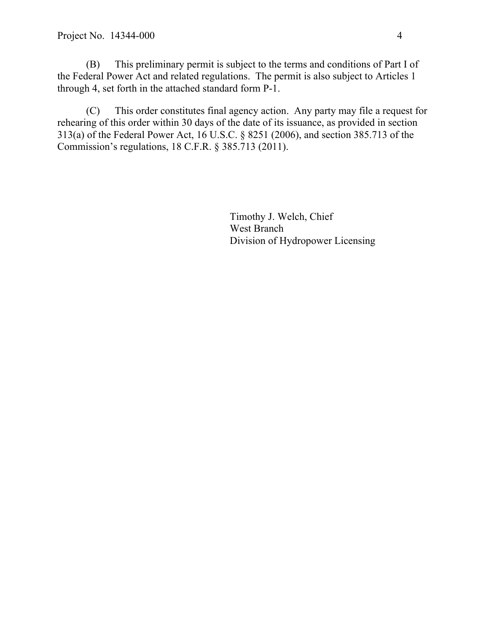(B) This preliminary permit is subject to the terms and conditions of Part I of the Federal Power Act and related regulations. The permit is also subject to Articles 1 through 4, set forth in the attached standard form P-1.

(C) This order constitutes final agency action. Any party may file a request for rehearing of this order within 30 days of the date of its issuance, as provided in section 313(a) of the Federal Power Act, 16 U.S.C. § 8251 (2006), and section 385.713 of the Commission's regulations, 18 C.F.R. § 385.713 (2011).

> Timothy J. Welch, Chief West Branch Division of Hydropower Licensing